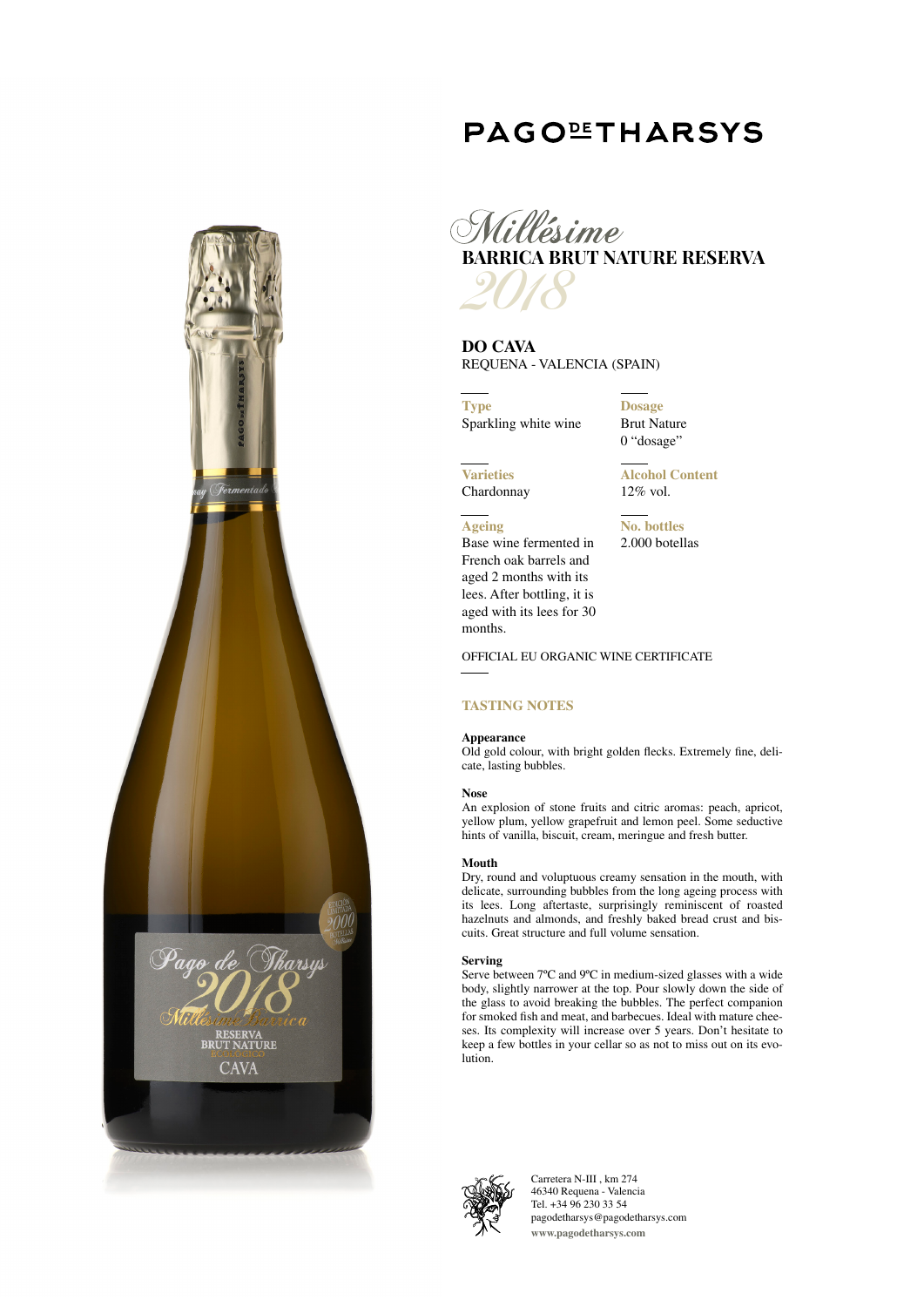# RESERVA<br>BRUT NATURE **CAVA**

# **PAGOLETHARSYS**



**DO CAVA** REQUENA - VALENCIA (SPAIN)

**Type** Sparkling white wine

Base wine fermented in French oak barrels and aged 2 months with its lees. After bottling, it is aged with its lees for 30

**Dosage** Brut Nature 0 "dosage"

**Varieties** Chardonnay

**Ageing**

months.

**Alcohol Content** 12% vol.

**No. bottles** 2.000 botellas

OFFICIAL EU ORGANIC WINE CERTIFICATE

### **TASTING NOTES**

### **Appearance**

Old gold colour, with bright golden flecks. Extremely fine, delicate, lasting bubbles.

### **Nose**

An explosion of stone fruits and citric aromas: peach, apricot, yellow plum, yellow grapefruit and lemon peel. Some seductive hints of vanilla, biscuit, cream, meringue and fresh butter.

### **Mouth**

Dry, round and voluptuous creamy sensation in the mouth, with delicate, surrounding bubbles from the long ageing process with its lees. Long aftertaste, surprisingly reminiscent of roasted hazelnuts and almonds, and freshly baked bread crust and biscuits. Great structure and full volume sensation.

### **Serving**

Serve between 7ºC and 9ºC in medium-sized glasses with a wide body, slightly narrower at the top. Pour slowly down the side of the glass to avoid breaking the bubbles. The perfect companion for smoked fish and meat, and barbecues. Ideal with mature cheeses. Its complexity will increase over 5 years. Don't hesitate to keep a few bottles in your cellar so as not to miss out on its evolution.



Carretera N-III , km 274 46340 Requena - Valencia Tel. +34 96 230 33 54 pagodetharsys@pagodetharsys.com **www.pagodetharsys.com**